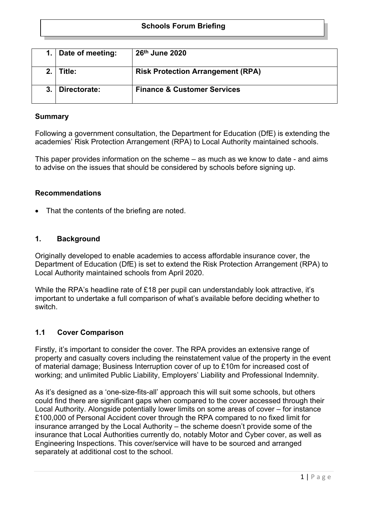## **Schools Forum Briefing**

|     | Date of meeting: | 26th June 2020                           |
|-----|------------------|------------------------------------------|
| 2.1 | Title:           | <b>Risk Protection Arrangement (RPA)</b> |
|     | Directorate:     | <b>Finance &amp; Customer Services</b>   |

### **Summary**

Following a government consultation, the Department for Education (DfE) is extending the academies' Risk Protection Arrangement (RPA) to Local Authority maintained schools.

This paper provides information on the scheme – as much as we know to date - and aims to advise on the issues that should be considered by schools before signing up.

### **Recommendations**

• That the contents of the briefing are noted.

### **1. Background**

Originally developed to enable academies to access affordable insurance cover, the Department of Education (DfE) is set to extend the Risk Protection Arrangement (RPA) to Local Authority maintained schools from April 2020.

While the RPA's headline rate of £18 per pupil can understandably look attractive, it's important to undertake a full comparison of what's available before deciding whether to switch.

### **1.1 Cover Comparison**

Firstly, it's important to consider the cover. The RPA provides an extensive range of property and casualty covers including the reinstatement value of the property in the event of material damage; Business Interruption cover of up to £10m for increased cost of working; and unlimited Public Liability, Employers' Liability and Professional Indemnity.

As it's designed as a 'one-size-fits-all' approach this will suit some schools, but others could find there are significant gaps when compared to the cover accessed through their Local Authority. Alongside potentially lower limits on some areas of cover – for instance £100,000 of Personal Accident cover through the RPA compared to no fixed limit for insurance arranged by the Local Authority – the scheme doesn't provide some of the insurance that Local Authorities currently do, notably Motor and Cyber cover, as well as Engineering Inspections. This cover/service will have to be sourced and arranged separately at additional cost to the school.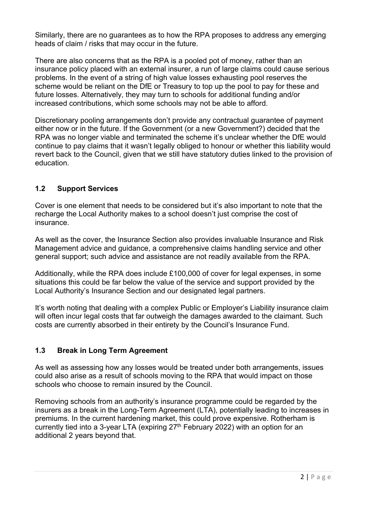Similarly, there are no guarantees as to how the RPA proposes to address any emerging heads of claim / risks that may occur in the future.

There are also concerns that as the RPA is a pooled pot of money, rather than an insurance policy placed with an external insurer, a run of large claims could cause serious problems. In the event of a string of high value losses exhausting pool reserves the scheme would be reliant on the DfE or Treasury to top up the pool to pay for these and future losses. Alternatively, they may turn to schools for additional funding and/or increased contributions, which some schools may not be able to afford.

Discretionary pooling arrangements don't provide any contractual guarantee of payment either now or in the future. If the Government (or a new Government?) decided that the RPA was no longer viable and terminated the scheme it's unclear whether the DfE would continue to pay claims that it wasn't legally obliged to honour or whether this liability would revert back to the Council, given that we still have statutory duties linked to the provision of education.

# **1.2 Support Services**

Cover is one element that needs to be considered but it's also important to note that the recharge the Local Authority makes to a school doesn't just comprise the cost of insurance.

As well as the cover, the Insurance Section also provides invaluable Insurance and Risk Management advice and guidance, a comprehensive claims handling service and other general support; such advice and assistance are not readily available from the RPA.

Additionally, while the RPA does include £100,000 of cover for legal expenses, in some situations this could be far below the value of the service and support provided by the Local Authority's Insurance Section and our designated legal partners.

It's worth noting that dealing with a complex Public or Employer's Liability insurance claim will often incur legal costs that far outweigh the damages awarded to the claimant. Such costs are currently absorbed in their entirety by the Council's Insurance Fund.

# **1.3 Break in Long Term Agreement**

As well as assessing how any losses would be treated under both arrangements, issues could also arise as a result of schools moving to the RPA that would impact on those schools who choose to remain insured by the Council.

Removing schools from an authority's insurance programme could be regarded by the insurers as a break in the Long-Term Agreement (LTA), potentially leading to increases in premiums. In the current hardening market, this could prove expensive. Rotherham is currently tied into a 3-year LTA (expiring  $27<sup>th</sup>$  February 2022) with an option for an additional 2 years beyond that.